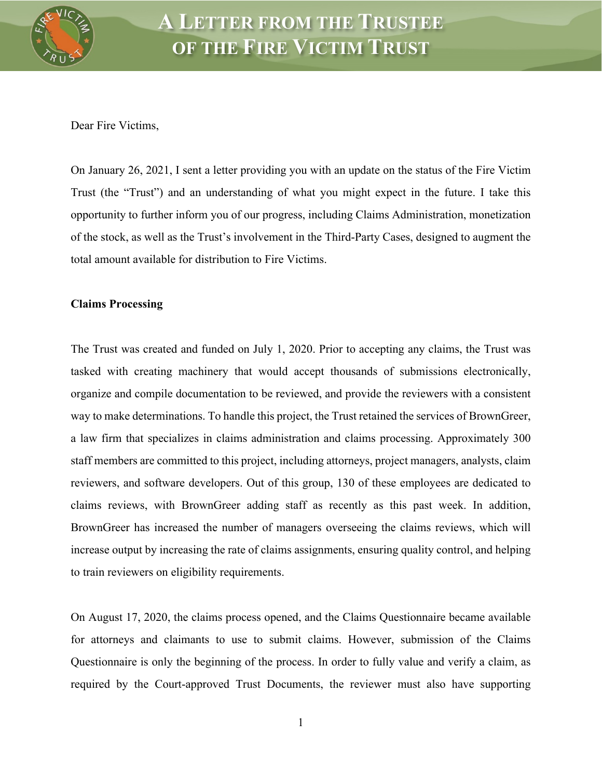

Dear Fire Victims,

On January 26, 2021, I sent a letter providing you with an update on the status of the Fire Victim Trust (the "Trust") and an understanding of what you might expect in the future. I take this opportunity to further inform you of our progress, including Claims Administration, monetization of the stock, as well as the Trust's involvement in the Third-Party Cases, designed to augment the total amount available for distribution to Fire Victims.

## **Claims Processing**

The Trust was created and funded on July 1, 2020. Prior to accepting any claims, the Trust was tasked with creating machinery that would accept thousands of submissions electronically, organize and compile documentation to be reviewed, and provide the reviewers with a consistent way to make determinations. To handle this project, the Trust retained the services of BrownGreer, a law firm that specializes in claims administration and claims processing. Approximately 300 staff members are committed to this project, including attorneys, project managers, analysts, claim reviewers, and software developers. Out of this group, 130 of these employees are dedicated to claims reviews, with BrownGreer adding staff as recently as this past week. In addition, BrownGreer has increased the number of managers overseeing the claims reviews, which will increase output by increasing the rate of claims assignments, ensuring quality control, and helping to train reviewers on eligibility requirements.

On August 17, 2020, the claims process opened, and the Claims Questionnaire became available for attorneys and claimants to use to submit claims. However, submission of the Claims Questionnaire is only the beginning of the process. In order to fully value and verify a claim, as required by the Court-approved Trust Documents, the reviewer must also have supporting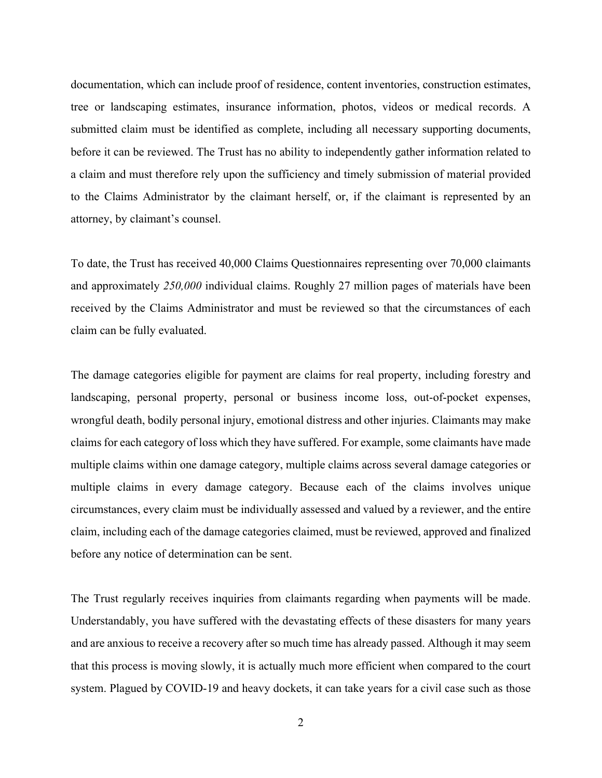documentation, which can include proof of residence, content inventories, construction estimates, tree or landscaping estimates, insurance information, photos, videos or medical records. A submitted claim must be identified as complete, including all necessary supporting documents, before it can be reviewed. The Trust has no ability to independently gather information related to a claim and must therefore rely upon the sufficiency and timely submission of material provided to the Claims Administrator by the claimant herself, or, if the claimant is represented by an attorney, by claimant's counsel.

To date, the Trust has received 40,000 Claims Questionnaires representing over 70,000 claimants and approximately *250,000* individual claims. Roughly 27 million pages of materials have been received by the Claims Administrator and must be reviewed so that the circumstances of each claim can be fully evaluated.

The damage categories eligible for payment are claims for real property, including forestry and landscaping, personal property, personal or business income loss, out-of-pocket expenses, wrongful death, bodily personal injury, emotional distress and other injuries. Claimants may make claims for each category of loss which they have suffered. For example, some claimants have made multiple claims within one damage category, multiple claims across several damage categories or multiple claims in every damage category. Because each of the claims involves unique circumstances, every claim must be individually assessed and valued by a reviewer, and the entire claim, including each of the damage categories claimed, must be reviewed, approved and finalized before any notice of determination can be sent.

The Trust regularly receives inquiries from claimants regarding when payments will be made. Understandably, you have suffered with the devastating effects of these disasters for many years and are anxious to receive a recovery after so much time has already passed. Although it may seem that this process is moving slowly, it is actually much more efficient when compared to the court system. Plagued by COVID-19 and heavy dockets, it can take years for a civil case such as those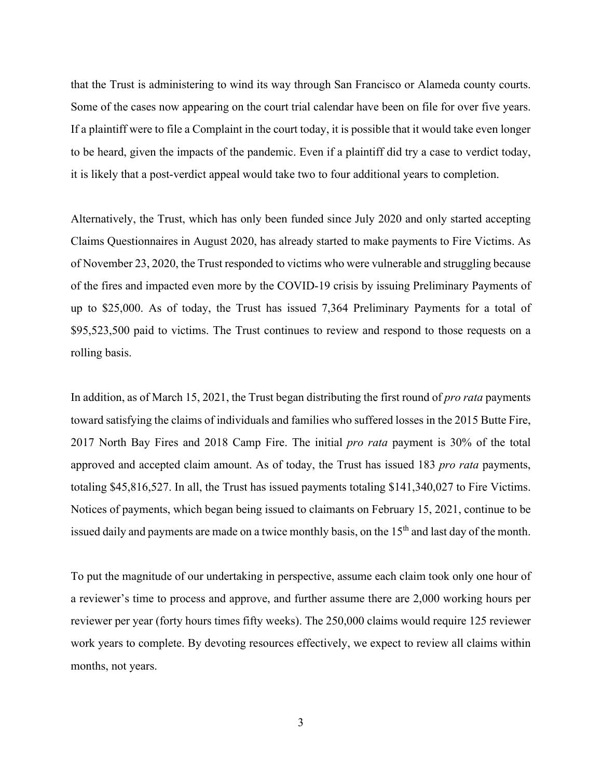that the Trust is administering to wind its way through San Francisco or Alameda county courts. Some of the cases now appearing on the court trial calendar have been on file for over five years. If a plaintiff were to file a Complaint in the court today, it is possible that it would take even longer to be heard, given the impacts of the pandemic. Even if a plaintiff did try a case to verdict today, it is likely that a post-verdict appeal would take two to four additional years to completion.

Alternatively, the Trust, which has only been funded since July 2020 and only started accepting Claims Questionnaires in August 2020, has already started to make payments to Fire Victims. As of November 23, 2020, the Trust responded to victims who were vulnerable and struggling because of the fires and impacted even more by the COVID-19 crisis by issuing Preliminary Payments of up to \$25,000. As of today, the Trust has issued 7,364 Preliminary Payments for a total of \$95,523,500 paid to victims. The Trust continues to review and respond to those requests on a rolling basis.

In addition, as of March 15, 2021, the Trust began distributing the first round of *pro rata* payments toward satisfying the claims of individuals and families who suffered losses in the 2015 Butte Fire, 2017 North Bay Fires and 2018 Camp Fire. The initial *pro rata* payment is 30% of the total approved and accepted claim amount. As of today, the Trust has issued 183 *pro rata* payments, totaling \$45,816,527. In all, the Trust has issued payments totaling \$141,340,027 to Fire Victims. Notices of payments, which began being issued to claimants on February 15, 2021, continue to be issued daily and payments are made on a twice monthly basis, on the 15<sup>th</sup> and last day of the month.

To put the magnitude of our undertaking in perspective, assume each claim took only one hour of a reviewer's time to process and approve, and further assume there are 2,000 working hours per reviewer per year (forty hours times fifty weeks). The 250,000 claims would require 125 reviewer work years to complete. By devoting resources effectively, we expect to review all claims within months, not years.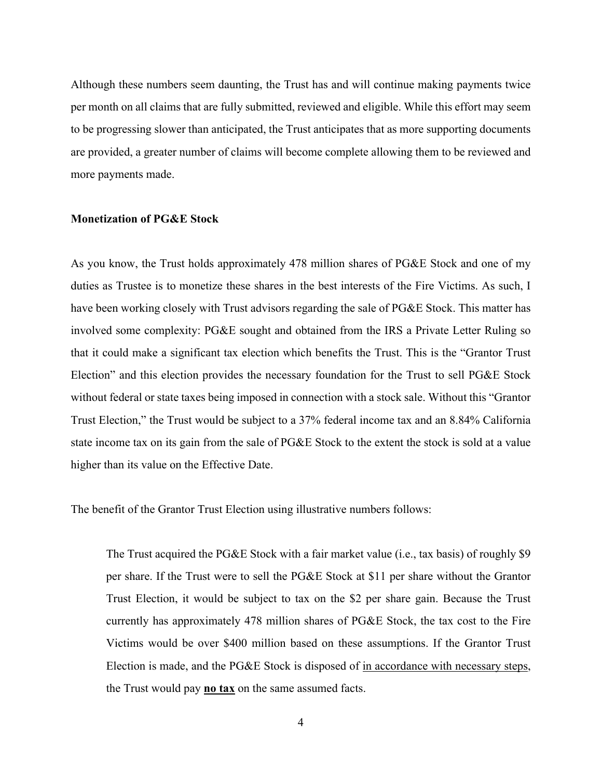Although these numbers seem daunting, the Trust has and will continue making payments twice per month on all claims that are fully submitted, reviewed and eligible. While this effort may seem to be progressing slower than anticipated, the Trust anticipates that as more supporting documents are provided, a greater number of claims will become complete allowing them to be reviewed and more payments made.

## **Monetization of PG&E Stock**

As you know, the Trust holds approximately 478 million shares of PG&E Stock and one of my duties as Trustee is to monetize these shares in the best interests of the Fire Victims. As such, I have been working closely with Trust advisors regarding the sale of PG&E Stock. This matter has involved some complexity: PG&E sought and obtained from the IRS a Private Letter Ruling so that it could make a significant tax election which benefits the Trust. This is the "Grantor Trust Election" and this election provides the necessary foundation for the Trust to sell PG&E Stock without federal or state taxes being imposed in connection with a stock sale. Without this "Grantor Trust Election," the Trust would be subject to a 37% federal income tax and an 8.84% California state income tax on its gain from the sale of PG&E Stock to the extent the stock is sold at a value higher than its value on the Effective Date.

The benefit of the Grantor Trust Election using illustrative numbers follows:

The Trust acquired the PG&E Stock with a fair market value (i.e., tax basis) of roughly \$9 per share. If the Trust were to sell the PG&E Stock at \$11 per share without the Grantor Trust Election, it would be subject to tax on the \$2 per share gain. Because the Trust currently has approximately 478 million shares of PG&E Stock, the tax cost to the Fire Victims would be over \$400 million based on these assumptions. If the Grantor Trust Election is made, and the PG&E Stock is disposed of in accordance with necessary steps, the Trust would pay **no tax** on the same assumed facts.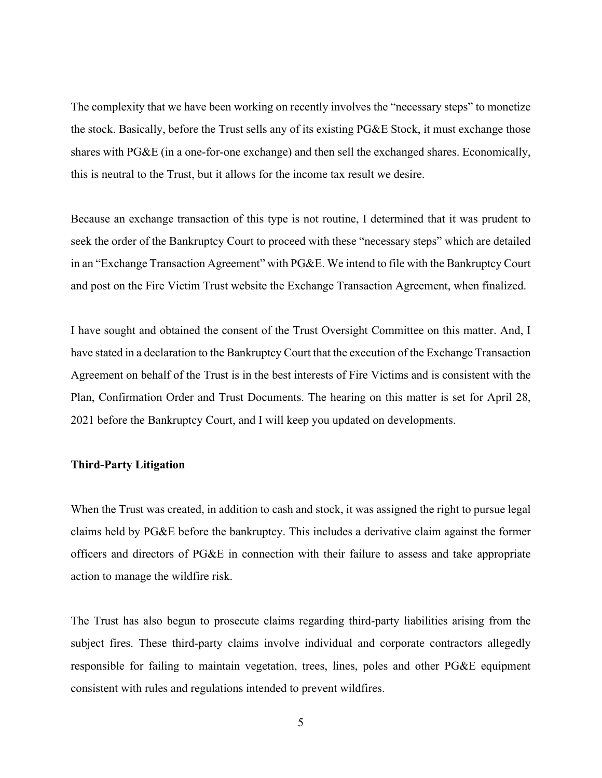The complexity that we have been working on recently involves the "necessary steps" to monetize the stock. Basically, before the Trust sells any of its existing PG&E Stock, it must exchange those shares with PG&E (in a one-for-one exchange) and then sell the exchanged shares. Economically, this is neutral to the Trust, but it allows for the income tax result we desire.

Because an exchange transaction of this type is not routine, I determined that it was prudent to seek the order of the Bankruptcy Court to proceed with these "necessary steps" which are detailed in an "Exchange Transaction Agreement" with PG&E. We intend to file with the Bankruptcy Court and post on the Fire Victim Trust website the Exchange Transaction Agreement, when finalized.

I have sought and obtained the consent of the Trust Oversight Committee on this matter. And, I have stated in a declaration to the Bankruptcy Court that the execution of the Exchange Transaction Agreement on behalf of the Trust is in the best interests of Fire Victims and is consistent with the Plan, Confirmation Order and Trust Documents. The hearing on this matter is set for April 28, 2021 before the Bankruptcy Court, and I will keep you updated on developments.

## **Third-Party Litigation**

When the Trust was created, in addition to cash and stock, it was assigned the right to pursue legal claims held by PG&E before the bankruptcy. This includes a derivative claim against the former officers and directors of PG&E in connection with their failure to assess and take appropriate action to manage the wildfire risk.

The Trust has also begun to prosecute claims regarding third-party liabilities arising from the subject fires. These third-party claims involve individual and corporate contractors allegedly responsible for failing to maintain vegetation, trees, lines, poles and other PG&E equipment consistent with rules and regulations intended to prevent wildfires.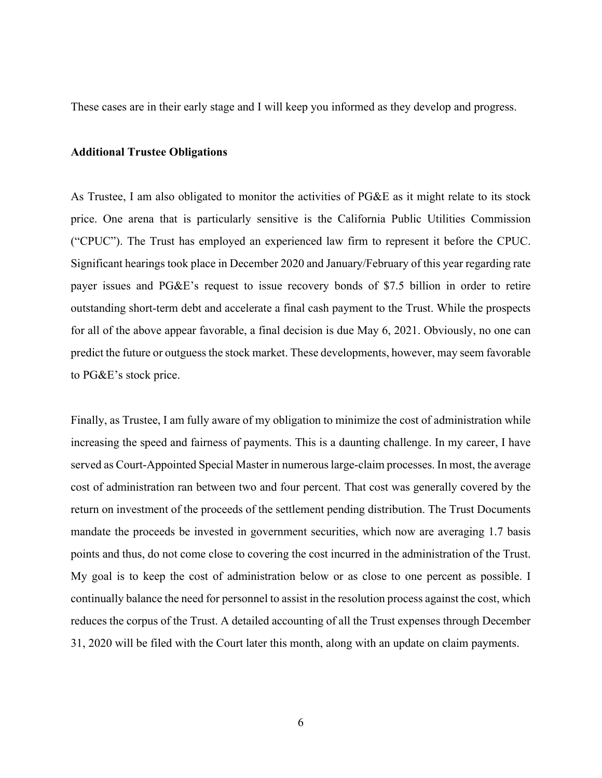These cases are in their early stage and I will keep you informed as they develop and progress.

## **Additional Trustee Obligations**

As Trustee, I am also obligated to monitor the activities of PG&E as it might relate to its stock price. One arena that is particularly sensitive is the California Public Utilities Commission ("CPUC"). The Trust has employed an experienced law firm to represent it before the CPUC. Significant hearings took place in December 2020 and January/February of this year regarding rate payer issues and PG&E's request to issue recovery bonds of \$7.5 billion in order to retire outstanding short-term debt and accelerate a final cash payment to the Trust. While the prospects for all of the above appear favorable, a final decision is due May 6, 2021. Obviously, no one can predict the future or outguess the stock market. These developments, however, may seem favorable to PG&E's stock price.

Finally, as Trustee, I am fully aware of my obligation to minimize the cost of administration while increasing the speed and fairness of payments. This is a daunting challenge. In my career, I have served as Court-Appointed Special Master in numerous large-claim processes. In most, the average cost of administration ran between two and four percent. That cost was generally covered by the return on investment of the proceeds of the settlement pending distribution. The Trust Documents mandate the proceeds be invested in government securities, which now are averaging 1.7 basis points and thus, do not come close to covering the cost incurred in the administration of the Trust. My goal is to keep the cost of administration below or as close to one percent as possible. I continually balance the need for personnel to assist in the resolution process against the cost, which reduces the corpus of the Trust. A detailed accounting of all the Trust expenses through December 31, 2020 will be filed with the Court later this month, along with an update on claim payments.